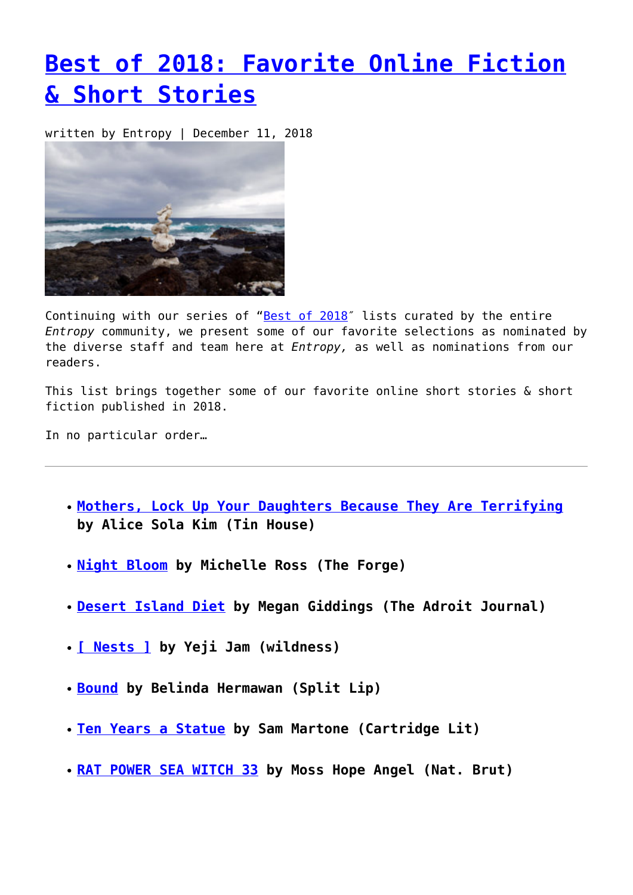## **[Best of 2018: Favorite Online Fiction](https://entropymag.org/best-of-2018-favorite-online-fiction-short-stories/) [& Short Stories](https://entropymag.org/best-of-2018-favorite-online-fiction-short-stories/)**

written by Entropy | December 11, 2018



Continuing with our series of "[Best of 2018](https://entropymag.org/tag/best-of-2018/)" lists curated by the entire *Entropy* community, we present some of our favorite selections as nominated by the diverse staff and team here at *Entropy,* as well as nominations from our readers.

This list brings together some of our favorite online short stories & short fiction published in 2018.

In no particular order…

- **[Mothers, Lock Up Your Daughters Because They Are Terrifying](https://tinhouse.com/mothers-lock-up-your-daughters-because-they-are-terrifying/?fbclid=IwAR0E6D4qE_L6sZUkKI9lUvj11FCh3OZsiU0-4jT7TWsP8YzgVnBbRf1qJOI) by Alice Sola Kim (Tin House)**
- **[Night Bloom](https://forgelitmag.com/2018/11/05/night-bloom/) by Michelle Ross (The Forge)**
- **[Desert Island Diet](http://www.theadroitjournal.org/issue-twenty-six-megan-giddings) by Megan Giddings (The Adroit Journal)**
- **[\[ Nests \]](http://readwildness.com/13/ham-nests) by Yeji Jam (wildness)**
- **[Bound](http://www.splitlipmagazine.com/718-belinda-hermawan-) by Belinda Hermawan (Split Lip)**
- **[Ten Years a Statue](https://cartridgelit.com/2018/10/01/ten-years-a-statue/) by Sam Martone (Cartridge Lit)**
- **[RAT POWER SEA WITCH 33](https://www.natbrut.com/moss-hope-angel?fbclid=IwAR0aDCLZU5vvWbI1JwEtHiy3CFfqpdGoQotEOxllJSgcFJDIBwGUEeAMlIg) by Moss Hope Angel (Nat. Brut)**